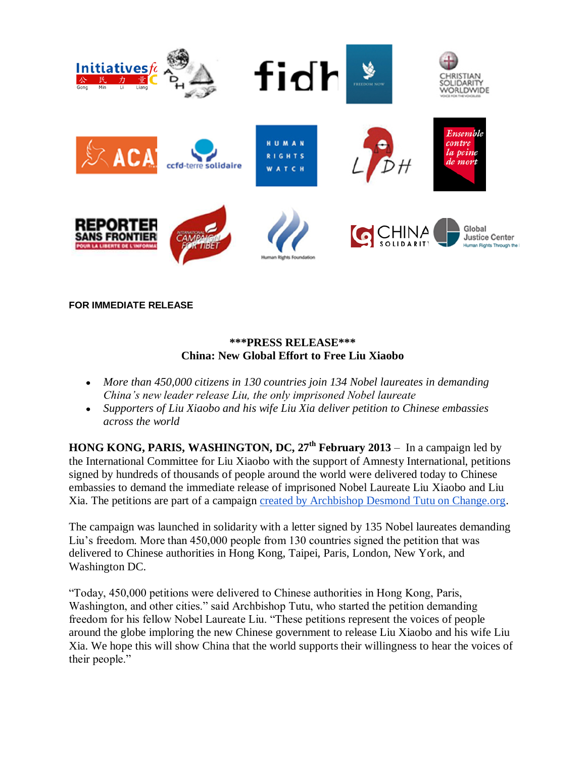

**FOR IMMEDIATE RELEASE**

## **\*\*\*PRESS RELEASE\*\*\* China: New Global Effort to Free Liu Xiaobo**

- *More than 450,000 citizens in 130 countries join 134 Nobel laureates in demanding China's new leader release Liu, the only imprisoned Nobel laureate*
- *Supporters of Liu Xiaobo and his wife Liu Xia deliver petition to Chinese embassies across the world*

**HONG KONG, PARIS, WASHINGTON, DC, 27th February 2013** – In a campaign led by the International Committee for Liu Xiaobo with the support of Amnesty International, petitions signed by hundreds of thousands of people around the world were delivered today to Chinese embassies to demand the immediate release of imprisoned Nobel Laureate Liu Xiaobo and Liu Xia. The petitions are part of a campaign [created by Archbishop Desmond Tutu on Change.org.](https://www.change.org/petitions/chinese-leader-xi-jinping-release-imprisoned-nobel-peace-prize-winner-liu-xiaobo-and-wife-liu-xia)

The campaign was launched in solidarity with a letter signed by 135 Nobel laureates demanding Liu's freedom. More than 450,000 people from 130 countries signed the petition that was delivered to Chinese authorities in Hong Kong, Taipei, Paris, London, New York, and Washington DC.

"Today, 450,000 petitions were delivered to Chinese authorities in Hong Kong, Paris, Washington, and other cities." said Archbishop Tutu, who started the petition demanding freedom for his fellow Nobel Laureate Liu. "These petitions represent the voices of people around the globe imploring the new Chinese government to release Liu Xiaobo and his wife Liu Xia. We hope this will show China that the world supports their willingness to hear the voices of their people."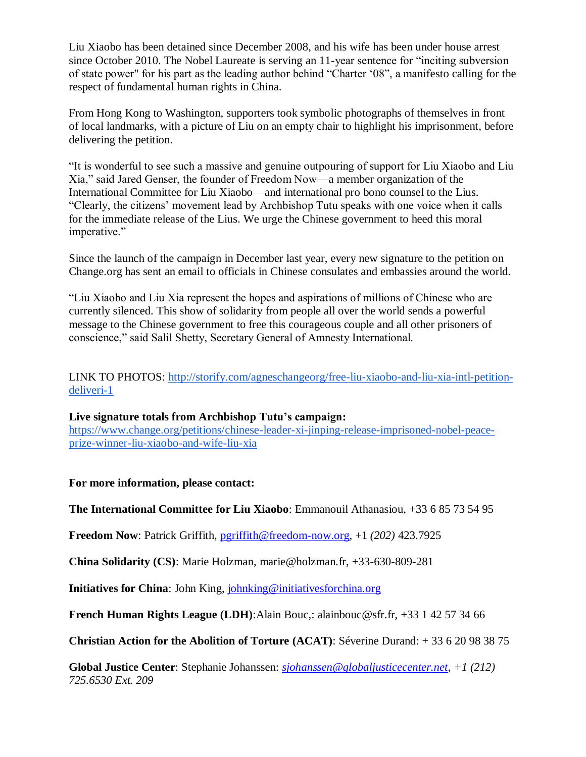Liu Xiaobo has been detained since December 2008, and his wife has been under house arrest since October 2010. The Nobel Laureate is serving an 11-year sentence for "inciting subversion of state power" for his part as the leading author behind "Charter '08", a manifesto calling for the respect of fundamental human rights in China.

From Hong Kong to Washington, supporters took symbolic photographs of themselves in front of local landmarks, with a picture of Liu on an empty chair to highlight his imprisonment, before delivering the petition.

"It is wonderful to see such a massive and genuine outpouring of support for Liu Xiaobo and Liu Xia," said Jared Genser, the founder of Freedom Now—a member organization of the International Committee for Liu Xiaobo—and international pro bono counsel to the Lius. "Clearly, the citizens' movement lead by Archbishop Tutu speaks with one voice when it calls for the immediate release of the Lius. We urge the Chinese government to heed this moral imperative."

Since the launch of the campaign in December last year, every new signature to the petition on Change.org has sent an email to officials in Chinese consulates and embassies around the world.

"Liu Xiaobo and Liu Xia represent the hopes and aspirations of millions of Chinese who are currently silenced. This show of solidarity from people all over the world sends a powerful message to the Chinese government to free this courageous couple and all other prisoners of conscience," said Salil Shetty, Secretary General of Amnesty International.

LINK TO PHOTOS: [http://storify.com/agneschangeorg/free-liu-xiaobo-and-liu-xia-intl-petition](http://storify.com/agneschangeorg/free-liu-xiaobo-and-liu-xia-intl-petition-deliveri-1)[deliveri-1](http://storify.com/agneschangeorg/free-liu-xiaobo-and-liu-xia-intl-petition-deliveri-1)

## **Live signature totals from Archbishop Tutu's campaign:**

[https://www.change.org/petitions/chinese-leader-xi-jinping-release-imprisoned-nobel-peace](https://www.change.org/petitions/chinese-leader-xi-jinping-release-imprisoned-nobel-peace-prize-winner-liu-xiaobo-and-wife-liu-xia)[prize-winner-liu-xiaobo-and-wife-liu-xia](https://www.change.org/petitions/chinese-leader-xi-jinping-release-imprisoned-nobel-peace-prize-winner-liu-xiaobo-and-wife-liu-xia)

**For more information, please contact:**

**The International Committee for Liu Xiaobo**: Emmanouil Athanasiou, +33 6 85 73 54 95

**Freedom Now**: Patrick Griffith, [pgriffith@freedom-now.org,](mailto:pgriffith@freedom-now.org) +1 *(202)* 423.7925

**China Solidarity (CS)**: Marie Holzman, marie@holzman.fr, +33-630-809-281

**Initiatives for China**: John King, [johnking@initiativesforchina.org](mailto:johnking@initiativesforchina.org)

**French Human Rights League (LDH)**:Alain Bouc,: alainbouc@sfr.fr, +33 1 42 57 34 66

**Christian Action for the Abolition of Torture (ACAT)**: Séverine Durand: + 33 6 20 98 38 75

**Global Justice Center**: Stephanie Johanssen: *[sjohanssen@globaljusticecenter.net](mailto:sjohanssen@globaljusticecenter.net)*, *+1 (212) 725.6530 Ext. 209*